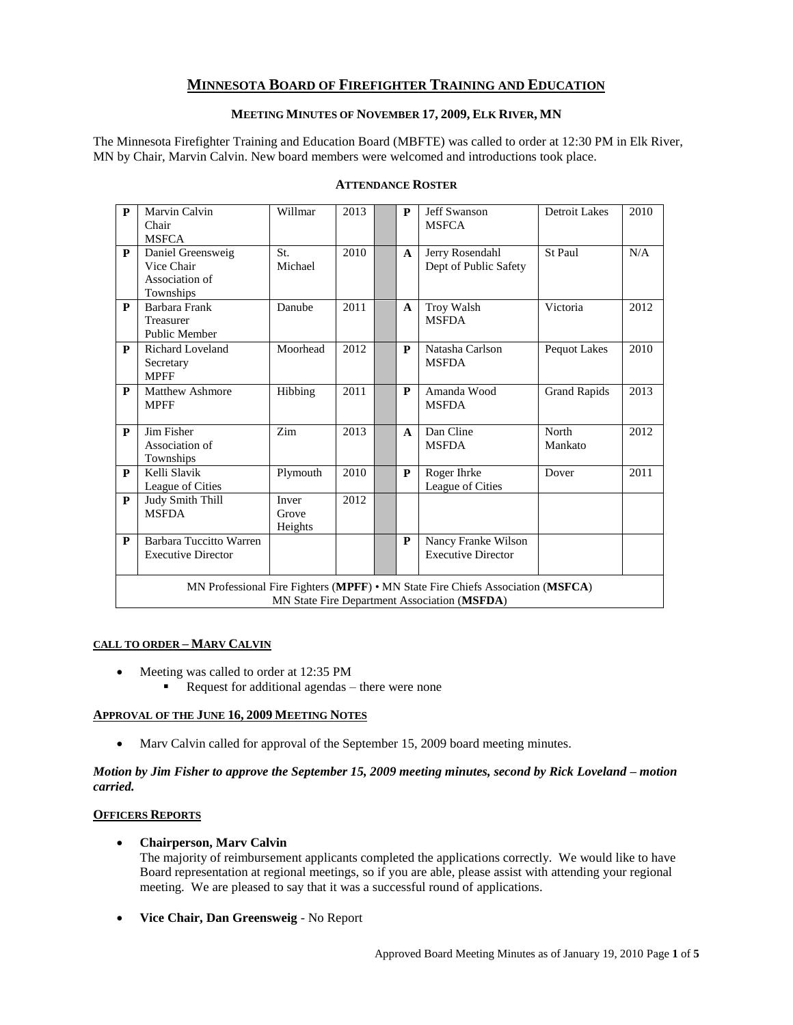# **MINNESOTA BOARD OF FIREFIGHTER TRAINING AND EDUCATION**

# **MEETING MINUTES OF NOVEMBER 17, 2009, ELK RIVER, MN**

The Minnesota Firefighter Training and Education Board (MBFTE) was called to order at 12:30 PM in Elk River, MN by Chair, Marvin Calvin. New board members were welcomed and introductions took place.

| P                                                                                                                               | Marvin Calvin<br>Chair<br><b>MSFCA</b>                         | Willmar                   | 2013 |  | P            | <b>Jeff Swanson</b><br><b>MSFCA</b>              | <b>Detroit Lakes</b> | 2010 |  |
|---------------------------------------------------------------------------------------------------------------------------------|----------------------------------------------------------------|---------------------------|------|--|--------------|--------------------------------------------------|----------------------|------|--|
| $\mathbf{P}$                                                                                                                    | Daniel Greensweig<br>Vice Chair<br>Association of<br>Townships | St.<br>Michael            | 2010 |  | $\mathbf{A}$ | Jerry Rosendahl<br>Dept of Public Safety         | St Paul              | N/A  |  |
| $\mathbf{P}$                                                                                                                    | Barbara Frank<br>Treasurer<br>Public Member                    | Danube                    | 2011 |  | $\mathbf{A}$ | Troy Walsh<br><b>MSFDA</b>                       | Victoria             | 2012 |  |
| P                                                                                                                               | <b>Richard Loveland</b><br>Secretary<br><b>MPFF</b>            | Moorhead                  | 2012 |  | P            | Natasha Carlson<br><b>MSFDA</b>                  | Pequot Lakes         | 2010 |  |
| P                                                                                                                               | <b>Matthew Ashmore</b><br><b>MPFF</b>                          | Hibbing                   | 2011 |  | $\mathbf{P}$ | Amanda Wood<br><b>MSFDA</b>                      | <b>Grand Rapids</b>  | 2013 |  |
| $\mathbf{P}$                                                                                                                    | Jim Fisher<br>Association of<br>Townships                      | Zim                       | 2013 |  | $\mathbf{A}$ | Dan Cline<br><b>MSFDA</b>                        | North<br>Mankato     | 2012 |  |
| $\mathbf{P}$                                                                                                                    | Kelli Slavik<br>League of Cities                               | Plymouth                  | 2010 |  | P            | Roger Ihrke<br>League of Cities                  | Dover                | 2011 |  |
| P                                                                                                                               | <b>Judy Smith Thill</b><br><b>MSFDA</b>                        | Inver<br>Grove<br>Heights | 2012 |  |              |                                                  |                      |      |  |
| P                                                                                                                               | Barbara Tuccitto Warren<br><b>Executive Director</b>           |                           |      |  | P            | Nancy Franke Wilson<br><b>Executive Director</b> |                      |      |  |
| MN Professional Fire Fighters (MPFF) • MN State Fire Chiefs Association (MSFCA)<br>MN State Fire Department Association (MSFDA) |                                                                |                           |      |  |              |                                                  |                      |      |  |

# **ATTENDANCE ROSTER**

#### **CALL TO ORDER – MARV CALVIN**

- Meeting was called to order at 12:35 PM
	- Request for additional agendas there were none

#### **APPROVAL OF THE JUNE 16, 2009 MEETING NOTES**

• Marv Calvin called for approval of the September 15, 2009 board meeting minutes.

#### *Motion by Jim Fisher to approve the September 15, 2009 meeting minutes, second by Rick Loveland – motion carried.*

## **OFFICERS REPORTS**

## **Chairperson, Marv Calvin**

The majority of reimbursement applicants completed the applications correctly. We would like to have Board representation at regional meetings, so if you are able, please assist with attending your regional meeting. We are pleased to say that it was a successful round of applications.

**Vice Chair, Dan Greensweig** - No Report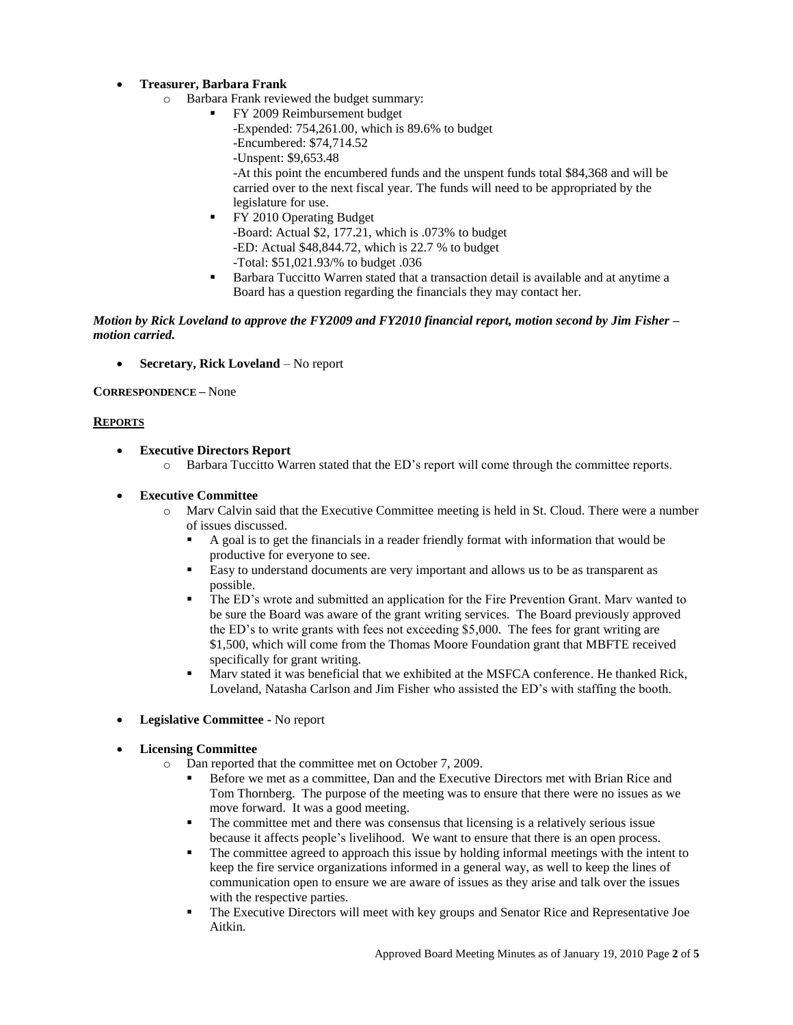# **Treasurer, Barbara Frank**

- o Barbara Frank reviewed the budget summary:
	- FY 2009 Reimbursement budget
		- -Expended: 754,261.00, which is 89.6% to budget
		- -Encumbered: \$74,714.52
		- -Unspent: \$9,653.48

-At this point the encumbered funds and the unspent funds total \$84,368 and will be carried over to the next fiscal year. The funds will need to be appropriated by the legislature for use.

- FY 2010 Operating Budget -Board: Actual \$2, 177.21, which is .073% to budget -ED: Actual \$48,844.72, which is 22.7 % to budget -Total: \$51,021.93/% to budget .036
- Barbara Tuccitto Warren stated that a transaction detail is available and at anytime a Board has a question regarding the financials they may contact her.

### *Motion by Rick Loveland to approve the FY2009 and FY2010 financial report, motion second by Jim Fisher – motion carried.*

**Secretary, Rick Loveland** – No report

**CORRESPONDENCE –** None

#### **REPORTS**

- **Executive Directors Report** 
	- o Barbara Tuccitto Warren stated that the ED's report will come through the committee reports.
- **Executive Committee**
	- o Marv Calvin said that the Executive Committee meeting is held in St. Cloud. There were a number of issues discussed.
		- A goal is to get the financials in a reader friendly format with information that would be productive for everyone to see.
		- Easy to understand documents are very important and allows us to be as transparent as possible.
		- The ED's wrote and submitted an application for the Fire Prevention Grant. Marv wanted to be sure the Board was aware of the grant writing services. The Board previously approved the ED's to write grants with fees not exceeding \$5,000. The fees for grant writing are \$1,500, which will come from the Thomas Moore Foundation grant that MBFTE received specifically for grant writing.
		- Marv stated it was beneficial that we exhibited at the MSFCA conference. He thanked Rick, Loveland, Natasha Carlson and Jim Fisher who assisted the ED's with staffing the booth.
- **Legislative Committee -** No report
- **Licensing Committee** 
	- o Dan reported that the committee met on October 7, 2009.
		- Before we met as a committee, Dan and the Executive Directors met with Brian Rice and Tom Thornberg. The purpose of the meeting was to ensure that there were no issues as we move forward. It was a good meeting.
		- The committee met and there was consensus that licensing is a relatively serious issue because it affects people's livelihood. We want to ensure that there is an open process.
		- The committee agreed to approach this issue by holding informal meetings with the intent to keep the fire service organizations informed in a general way, as well to keep the lines of communication open to ensure we are aware of issues as they arise and talk over the issues with the respective parties.
		- The Executive Directors will meet with key groups and Senator Rice and Representative Joe Aitkin.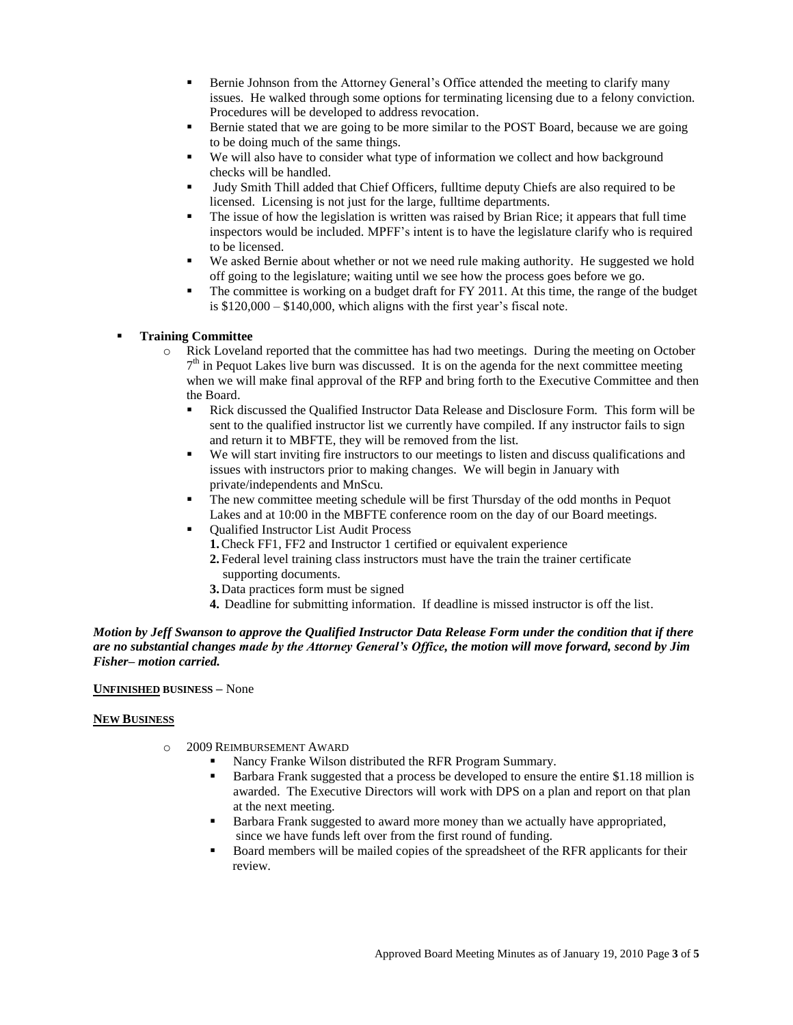- Bernie Johnson from the Attorney General's Office attended the meeting to clarify many issues. He walked through some options for terminating licensing due to a felony conviction. Procedures will be developed to address revocation.
- Bernie stated that we are going to be more similar to the POST Board, because we are going to be doing much of the same things.
- We will also have to consider what type of information we collect and how background checks will be handled.
- Judy Smith Thill added that Chief Officers, fulltime deputy Chiefs are also required to be licensed. Licensing is not just for the large, fulltime departments.
- The issue of how the legislation is written was raised by Brian Rice; it appears that full time inspectors would be included. MPFF's intent is to have the legislature clarify who is required to be licensed.
- We asked Bernie about whether or not we need rule making authority. He suggested we hold off going to the legislature; waiting until we see how the process goes before we go.
- The committee is working on a budget draft for FY 2011. At this time, the range of the budget is \$120,000 – \$140,000, which aligns with the first year's fiscal note.

### **Training Committee**

- o Rick Loveland reported that the committee has had two meetings. During the meeting on October 7<sup>th</sup> in Pequot Lakes live burn was discussed. It is on the agenda for the next committee meeting when we will make final approval of the RFP and bring forth to the Executive Committee and then the Board.
	- Rick discussed the Qualified Instructor Data Release and Disclosure Form. This form will be sent to the qualified instructor list we currently have compiled. If any instructor fails to sign and return it to MBFTE, they will be removed from the list.
	- We will start inviting fire instructors to our meetings to listen and discuss qualifications and issues with instructors prior to making changes. We will begin in January with private/independents and MnScu.
	- The new committee meeting schedule will be first Thursday of the odd months in Pequot Lakes and at 10:00 in the MBFTE conference room on the day of our Board meetings.
	- Qualified Instructor List Audit Process
		- **1.**Check FF1, FF2 and Instructor 1 certified or equivalent experience
		- **2.** Federal level training class instructors must have the train the trainer certificate supporting documents.
		- **3.** Data practices form must be signed
		- **4.** Deadline for submitting information. If deadline is missed instructor is off the list.

### *Motion by Jeff Swanson to approve the Qualified Instructor Data Release Form under the condition that if there are no substantial changes made by the Attorney General's Office, the motion will move forward, second by Jim Fisher– motion carried.*

#### **UNFINISHED BUSINESS –** None

#### **NEW BUSINESS**

- o 2009 REIMBURSEMENT AWARD
	- Nancy Franke Wilson distributed the RFR Program Summary.
	- Barbara Frank suggested that a process be developed to ensure the entire \$1.18 million is awarded. The Executive Directors will work with DPS on a plan and report on that plan at the next meeting.
	- Barbara Frank suggested to award more money than we actually have appropriated, since we have funds left over from the first round of funding.
	- Board members will be mailed copies of the spreadsheet of the RFR applicants for their review.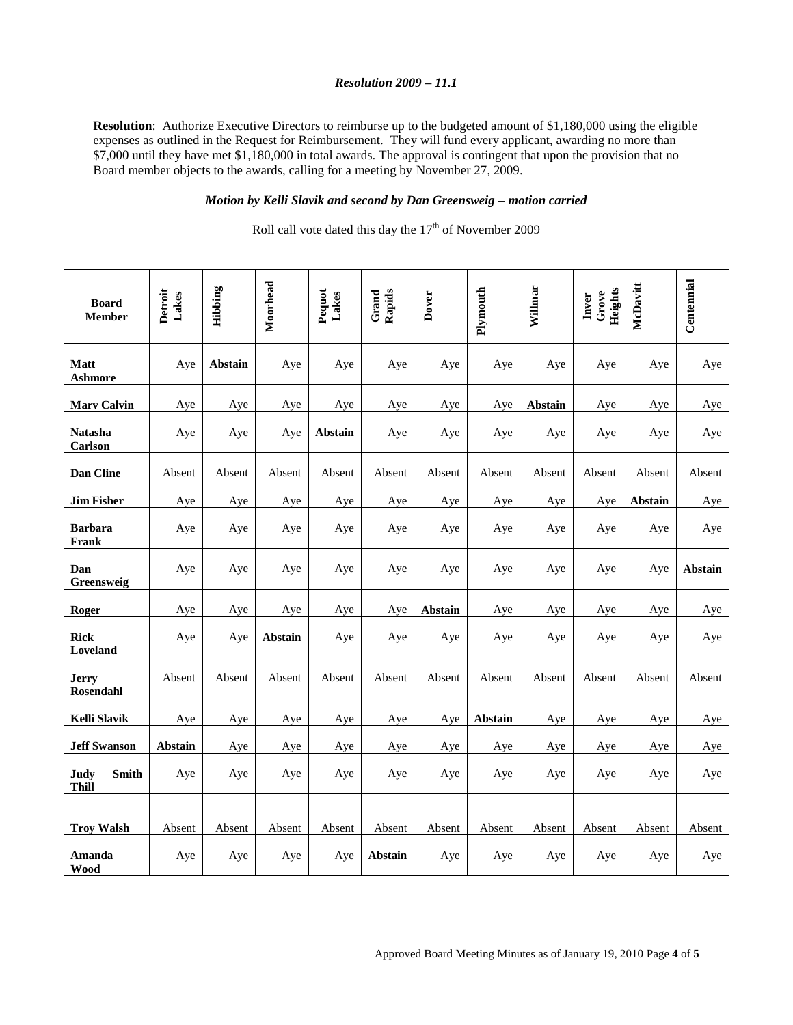#### *Resolution 2009 – 11.1*

**Resolution**: Authorize Executive Directors to reimburse up to the budgeted amount of \$1,180,000 using the eligible expenses as outlined in the Request for Reimbursement. They will fund every applicant, awarding no more than \$7,000 until they have met \$1,180,000 in total awards. The approval is contingent that upon the provision that no Board member objects to the awards, calling for a meeting by November 27, 2009.

# *Motion by Kelli Slavik and second by Dan Greensweig – motion carried*

Roll call vote dated this day the  $17<sup>th</sup>$  of November 2009

| <b>Board</b><br><b>Member</b>        | Detroit<br>Lakes | Hibbing        | Moorhead | Pequot<br>Lakes | Grand<br>Rapids | Dover   | Plymouth | Willmar | Heights<br>Grove<br>Inver | McDavitt | Centennial |
|--------------------------------------|------------------|----------------|----------|-----------------|-----------------|---------|----------|---------|---------------------------|----------|------------|
| <b>Matt</b><br><b>Ashmore</b>        | Aye              | <b>Abstain</b> | Aye      | Aye             | Aye             | Aye     | Aye      | Aye     | Aye                       | Aye      | Aye        |
| <b>Marv Calvin</b>                   | Aye              | Aye            | Aye      | Aye             | Aye             | Aye     | Aye      | Abstain | Aye                       | Aye      | Aye        |
| <b>Natasha</b><br>Carlson            | Aye              | Aye            | Aye      | Abstain         | Aye             | Aye     | Aye      | Aye     | Aye                       | Aye      | Aye        |
| Dan Cline                            | Absent           | Absent         | Absent   | Absent          | Absent          | Absent  | Absent   | Absent  | Absent                    | Absent   | Absent     |
| <b>Jim Fisher</b>                    | Aye              | Aye            | Aye      | Aye             | Aye             | Aye     | Aye      | Aye     | Aye                       | Abstain  | Aye        |
| <b>Barbara</b><br>Frank              | Aye              | Aye            | Aye      | Aye             | Aye             | Aye     | Aye      | Aye     | Aye                       | Aye      | Aye        |
| Dan<br>Greensweig                    | Aye              | Aye            | Aye      | Aye             | Aye             | Aye     | Aye      | Aye     | Aye                       | Aye      | Abstain    |
| Roger                                | Aye              | Aye            | Aye      | Aye             | Aye             | Abstain | Aye      | Aye     | Aye                       | Aye      | Aye        |
| <b>Rick</b><br>Loveland              | Aye              | Aye            | Abstain  | Aye             | Aye             | Aye     | Aye      | Aye     | Aye                       | Aye      | Aye        |
| <b>Jerry</b><br><b>Rosendahl</b>     | Absent           | Absent         | Absent   | Absent          | Absent          | Absent  | Absent   | Absent  | Absent                    | Absent   | Absent     |
| <b>Kelli Slavik</b>                  | Aye              | Aye            | Aye      | Aye             | Aye             | Aye     | Abstain  | Aye     | Aye                       | Aye      | Aye        |
| <b>Jeff Swanson</b>                  | Abstain          | Aye            | Aye      | Aye             | Aye             | Aye     | Aye      | Aye     | Aye                       | Aye      | Aye        |
| <b>Smith</b><br>Judy<br><b>Thill</b> | Aye              | Aye            | Aye      | Aye             | Aye             | Aye     | Aye      | Aye     | Aye                       | Aye      | Aye        |
|                                      |                  |                |          |                 |                 |         |          |         |                           |          |            |
| <b>Troy Walsh</b>                    | Absent           | Absent         | Absent   | Absent          | Absent          | Absent  | Absent   | Absent  | Absent                    | Absent   | Absent     |
| Amanda<br>Wood                       | Aye              | Aye            | Aye      | Aye             | Abstain         | Aye     | Aye      | Aye     | Aye                       | Aye      | Aye        |